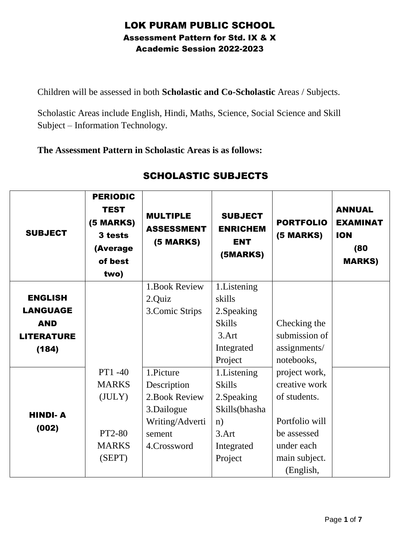## LOK PURAM PUBLIC SCHOOL Assessment Pattern for Std. IX & X Academic Session 2022-2023

Children will be assessed in both **Scholastic and Co-Scholastic** Areas / Subjects.

Scholastic Areas include English, Hindi, Maths, Science, Social Science and Skill Subject – Information Technology.

**The Assessment Pattern in Scholastic Areas is as follows:** 

| <b>SUBJECT</b>    | <b>PERIODIC</b><br><b>TEST</b><br>(5 MARKS)<br>3 tests<br>(Average<br>of best<br>two) | <b>MULTIPLE</b><br><b>ASSESSMENT</b><br>(5 MARKS) | <b>SUBJECT</b><br><b>ENRICHEM</b><br><b>ENT</b><br>(5MARKS) | <b>PORTFOLIO</b><br>(5 MARKS) | <b>ANNUAL</b><br><b>EXAMINAT</b><br><b>ION</b><br>(80)<br><b>MARKS)</b> |
|-------------------|---------------------------------------------------------------------------------------|---------------------------------------------------|-------------------------------------------------------------|-------------------------------|-------------------------------------------------------------------------|
|                   |                                                                                       | 1. Book Review                                    | 1. Listening                                                |                               |                                                                         |
| <b>ENGLISH</b>    |                                                                                       | 2.Quiz                                            | skills                                                      |                               |                                                                         |
| <b>LANGUAGE</b>   |                                                                                       | 3. Comic Strips                                   | 2. Speaking                                                 |                               |                                                                         |
| <b>AND</b>        |                                                                                       |                                                   | <b>Skills</b>                                               | Checking the                  |                                                                         |
| <b>LITERATURE</b> |                                                                                       |                                                   | $3.$ Art                                                    | submission of                 |                                                                         |
| (184)             |                                                                                       |                                                   | Integrated                                                  | assignments/                  |                                                                         |
|                   |                                                                                       |                                                   | Project                                                     | notebooks,                    |                                                                         |
|                   | PT1-40                                                                                | 1.Picture                                         | 1. Listening                                                | project work,                 |                                                                         |
|                   | <b>MARKS</b>                                                                          | Description                                       | <b>Skills</b>                                               | creative work                 |                                                                         |
|                   | (JULY)                                                                                | 2. Book Review                                    | 2. Speaking                                                 | of students.                  |                                                                         |
| <b>HINDI-A</b>    |                                                                                       | 3.Dailogue                                        | Skills(bhasha                                               |                               |                                                                         |
|                   |                                                                                       | Writing/Adverti                                   | n)                                                          | Portfolio will                |                                                                         |
| (002)             | PT2-80                                                                                | sement                                            | 3.Art                                                       | be assessed                   |                                                                         |
|                   | <b>MARKS</b>                                                                          | 4.Crossword                                       | Integrated                                                  | under each                    |                                                                         |
|                   | (SEPT)                                                                                |                                                   | Project                                                     | main subject.                 |                                                                         |
|                   |                                                                                       |                                                   |                                                             | (English,                     |                                                                         |

## SCHOLASTIC SUBJECTS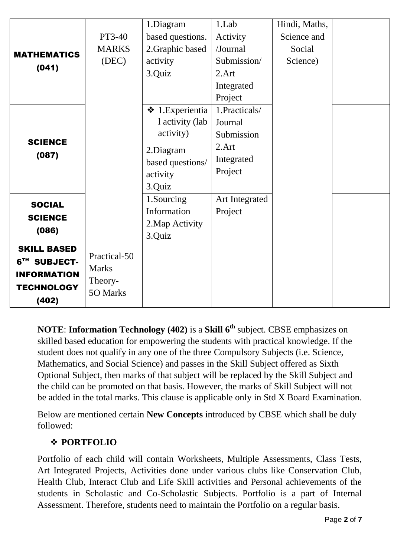|                             |                     | 1.Diagram             | 1.Lab          | Hindi, Maths, |  |
|-----------------------------|---------------------|-----------------------|----------------|---------------|--|
| <b>MATHEMATICS</b><br>(041) | PT3-40              | based questions.      | Activity       | Science and   |  |
|                             | <b>MARKS</b>        | 2. Graphic based      | /Journal       | Social        |  |
|                             | (DEC)               | activity              | Submission/    | Science)      |  |
|                             |                     | 3.Quiz                | 2.Art          |               |  |
|                             |                     |                       | Integrated     |               |  |
|                             |                     |                       | Project        |               |  |
|                             |                     | $\div$ 1. Experientia | 1.Practicals/  |               |  |
|                             |                     | l activity (lab       | Journal        |               |  |
|                             |                     | activity)             | Submission     |               |  |
| <b>SCIENCE</b>              |                     | 2.Diagram             | 2.Art          |               |  |
| (087)                       |                     | based questions/      | Integrated     |               |  |
|                             |                     | activity              | Project        |               |  |
|                             |                     | 3.Quiz                |                |               |  |
| <b>SOCIAL</b>               |                     | 1.Sourcing            | Art Integrated |               |  |
| <b>SCIENCE</b>              |                     | Information           | Project        |               |  |
|                             |                     | 2. Map Activity       |                |               |  |
| (086)                       |                     | 3.Quiz                |                |               |  |
| <b>SKILL BASED</b>          |                     |                       |                |               |  |
| 6TH SUBJECT-                | Practical-50        |                       |                |               |  |
| <b>INFORMATION</b>          | <b>Marks</b>        |                       |                |               |  |
| <b>TECHNOLOGY</b>           | Theory-<br>50 Marks |                       |                |               |  |
| (402)                       |                     |                       |                |               |  |

**NOTE**: **Information Technology (402)** is a **Skill 6th** subject. CBSE emphasizes on skilled based education for empowering the students with practical knowledge. If the student does not qualify in any one of the three Compulsory Subjects (i.e. Science, Mathematics, and Social Science) and passes in the Skill Subject offered as Sixth Optional Subject, then marks of that subject will be replaced by the Skill Subject and the child can be promoted on that basis. However, the marks of Skill Subject will not be added in the total marks. This clause is applicable only in Std X Board Examination.

Below are mentioned certain **New Concepts** introduced by CBSE which shall be duly followed:

## ❖ **PORTFOLIO**

Portfolio of each child will contain Worksheets, Multiple Assessments, Class Tests, Art Integrated Projects, Activities done under various clubs like Conservation Club, Health Club, Interact Club and Life Skill activities and Personal achievements of the students in Scholastic and Co-Scholastic Subjects. Portfolio is a part of Internal Assessment. Therefore, students need to maintain the Portfolio on a regular basis.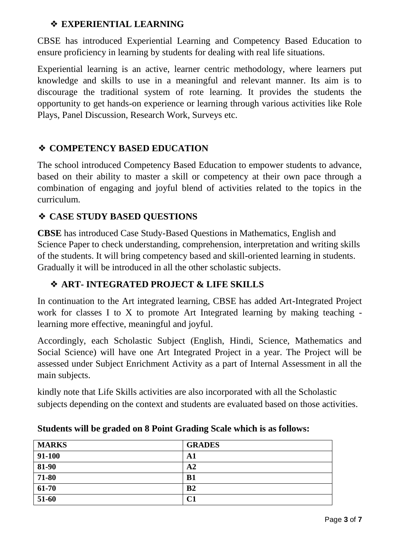### ❖ **EXPERIENTIAL LEARNING**

CBSE has introduced Experiential Learning and Competency Based Education to ensure proficiency in learning by students for dealing with real life situations.

Experiential learning is an active, learner centric methodology, where learners put knowledge and skills to use in a meaningful and relevant manner. Its aim is to discourage the traditional system of rote learning. It provides the students the opportunity to get hands-on experience or learning through various activities like Role Plays, Panel Discussion, Research Work, Surveys etc.

### ❖ **COMPETENCY BASED EDUCATION**

The school introduced Competency Based Education to empower students to advance, based on their ability to master a skill or competency at their own pace through a combination of engaging and joyful blend of activities related to the topics in the curriculum.

### ❖ **CASE STUDY BASED QUESTIONS**

**CBSE** has introduced Case Study-Based Questions in Mathematics, English and Science Paper to check understanding, comprehension, interpretation and writing skills of the students. It will bring competency based and skill-oriented learning in students. Gradually it will be introduced in all the other scholastic subjects.

## ❖ **ART- INTEGRATED PROJECT & LIFE SKILLS**

In continuation to the Art integrated learning, CBSE has added Art-Integrated Project work for classes I to X to promote Art Integrated learning by making teaching learning more effective, meaningful and joyful.

Accordingly, each Scholastic Subject (English, Hindi, Science, Mathematics and Social Science) will have one Art Integrated Project in a year. The Project will be assessed under Subject Enrichment Activity as a part of Internal Assessment in all the main subjects.

kindly note that Life Skills activities are also incorporated with all the Scholastic subjects depending on the context and students are evaluated based on those activities.

| <b>MARKS</b> | <b>GRADES</b>  |
|--------------|----------------|
| 91-100       | A1             |
| $81 - 90$    | A <sub>2</sub> |
| 71-80        | B1             |
| $61-70$      | B <sub>2</sub> |
| 51-60        | C1             |

#### **Students will be graded on 8 Point Grading Scale which is as follows:**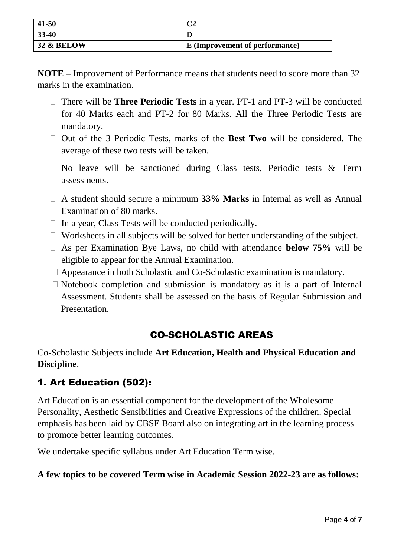| 41-50                 |                                |
|-----------------------|--------------------------------|
| $33-40$               |                                |
| <b>32 &amp; BELOW</b> | E (Improvement of performance) |

**NOTE** – Improvement of Performance means that students need to score more than 32 marks in the examination.

- □ There will be **Three Periodic Tests** in a year. PT-1 and PT-3 will be conducted for 40 Marks each and PT-2 for 80 Marks. All the Three Periodic Tests are mandatory.
- □ Out of the 3 Periodic Tests, marks of the **Best Two** will be considered. The average of these two tests will be taken.
- ⮚ No leave will be sanctioned during Class tests, Periodic tests & Term assessments.
- □ A student should secure a minimum 33% Marks in Internal as well as Annual Examination of 80 marks.
- $\Box$  In a year, Class Tests will be conducted periodically.
- $\Box$  Worksheets in all subjects will be solved for better understanding of the subject.
- □ As per Examination Bye Laws, no child with attendance **below 75%** will be eligible to appear for the Annual Examination.
- $\Box$  Appearance in both Scholastic and Co-Scholastic examination is mandatory.
- $\Box$  Notebook completion and submission is mandatory as it is a part of Internal Assessment. Students shall be assessed on the basis of Regular Submission and Presentation.

# CO-SCHOLASTIC AREAS

Co-Scholastic Subjects include **Art Education, Health and Physical Education and Discipline**.

# 1. Art Education (502):

Art Education is an essential component for the development of the Wholesome Personality, Aesthetic Sensibilities and Creative Expressions of the children. Special emphasis has been laid by CBSE Board also on integrating art in the learning process to promote better learning outcomes.

We undertake specific syllabus under Art Education Term wise.

#### **A few topics to be covered Term wise in Academic Session 2022-23 are as follows:**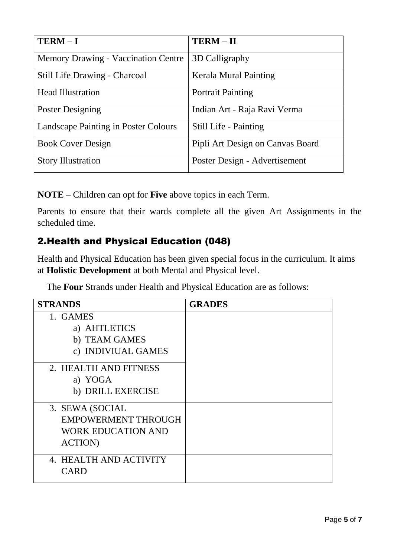| $TERM – I$                                 | <b>TERM-II</b>                   |
|--------------------------------------------|----------------------------------|
| <b>Memory Drawing - Vaccination Centre</b> | 3D Calligraphy                   |
| Still Life Drawing - Charcoal              | <b>Kerala Mural Painting</b>     |
| <b>Head Illustration</b>                   | <b>Portrait Painting</b>         |
| <b>Poster Designing</b>                    | Indian Art - Raja Ravi Verma     |
| Landscape Painting in Poster Colours       | Still Life - Painting            |
| <b>Book Cover Design</b>                   | Pipli Art Design on Canvas Board |
| <b>Story Illustration</b>                  | Poster Design - Advertisement    |

**NOTE** – Children can opt for **Five** above topics in each Term.

Parents to ensure that their wards complete all the given Art Assignments in the scheduled time.

# 2.Health and Physical Education (048)

Health and Physical Education has been given special focus in the curriculum. It aims at **Holistic Development** at both Mental and Physical level.

The **Four** Strands under Health and Physical Education are as follows:

| <b>STRANDS</b>             | <b>GRADES</b> |
|----------------------------|---------------|
| 1. GAMES                   |               |
| a) AHTLETICS               |               |
| b) TEAM GAMES              |               |
| c) INDIVIUAL GAMES         |               |
| 2. HEALTH AND FITNESS      |               |
| a) YOGA                    |               |
| b) DRILL EXERCISE          |               |
| 3. SEWA (SOCIAL            |               |
| <b>EMPOWERMENT THROUGH</b> |               |
| <b>WORK EDUCATION AND</b>  |               |
| <b>ACTION</b> )            |               |
| 4. HEALTH AND ACTIVITY     |               |
| <b>CARD</b>                |               |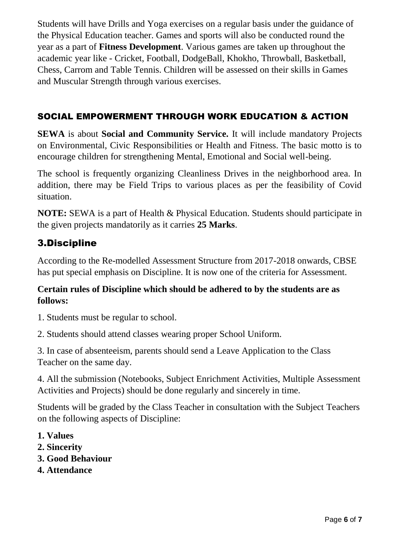Students will have Drills and Yoga exercises on a regular basis under the guidance of the Physical Education teacher. Games and sports will also be conducted round the year as a part of **Fitness Development**. Various games are taken up throughout the academic year like - Cricket, Football, DodgeBall, Khokho, Throwball, Basketball, Chess, Carrom and Table Tennis. Children will be assessed on their skills in Games and Muscular Strength through various exercises.

### SOCIAL EMPOWERMENT THROUGH WORK EDUCATION & ACTION

**SEWA** is about **Social and Community Service.** It will include mandatory Projects on Environmental, Civic Responsibilities or Health and Fitness. The basic motto is to encourage children for strengthening Mental, Emotional and Social well-being.

The school is frequently organizing Cleanliness Drives in the neighborhood area. In addition, there may be Field Trips to various places as per the feasibility of Covid situation.

**NOTE:** SEWA is a part of Health & Physical Education. Students should participate in the given projects mandatorily as it carries **25 Marks**.

## 3.Discipline

According to the Re-modelled Assessment Structure from 2017-2018 onwards, CBSE has put special emphasis on Discipline. It is now one of the criteria for Assessment.

#### **Certain rules of Discipline which should be adhered to by the students are as follows:**

1. Students must be regular to school.

2. Students should attend classes wearing proper School Uniform.

3. In case of absenteeism, parents should send a Leave Application to the Class Teacher on the same day.

4. All the submission (Notebooks, Subject Enrichment Activities, Multiple Assessment Activities and Projects) should be done regularly and sincerely in time.

Students will be graded by the Class Teacher in consultation with the Subject Teachers on the following aspects of Discipline:

- **1. Values**
- **2. Sincerity**
- **3. Good Behaviour**
- **4. Attendance**